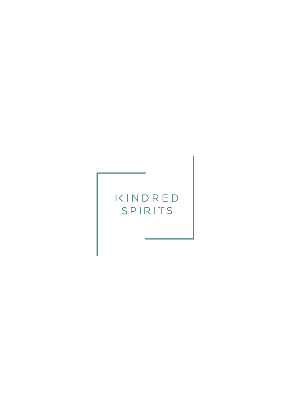# KINDRED SPIRITS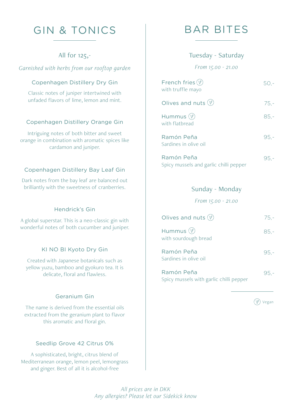# GIN & TONICS | BAR BITES

*Garnished with herbs from our rooftop garden From 15.00 - 21.00*

#### Copenhagen Distillery Dry Gin

Classic notes of juniper intertwined with unfaded flavors of lime, lemon and mint.

#### Copenhagen Distillery Orange Gin

Intriguing notes of both bitter and sweet orange in combination with aromatic spices like cardamon and juniper.

### Copenhagen Distillery Bay Leaf Gin

Dark notes from the bay leaf are balanced out brilliantly with the sweetness of cranberries.

#### Hendrick's Gin

A global superstar. This is a neo-classic gin with wonderful notes of both cucumber and juniper.

#### KI NO BI Kyoto Dry Gin

Created with Japanese botanicals such as yellow yuzu, bamboo and gyokuro tea. It is delicate, floral and flawless.

## Geranium Gin

The name is derived from the essential oils extracted from the geranium plant to flavor this aromatic and floral gin.

#### Seedlip Grove 42 Citrus 0%

A sophisticated, bright, citrus blend of Mediterranean orange, lemon peel, lemongrass and ginger. Best of all it is alcohol-free

## All for 125,- Tuesday - Saturday

| French fries $(\varphi)$<br>with truffle mayo | $50 -$ |
|-----------------------------------------------|--------|
| Olives and nuts $(\varphi)$                   | $75 -$ |
| Hummus $(\varphi)$<br>with flathread          | $85 -$ |
| Ramón Peña<br>Sardines in olive oil           | $95 -$ |
| Ramón Peña                                    |        |

Spicy mussels and garlic chilli pepper

#### Sunday - Monday

*From 15.00 - 21.00*

| Olives and nuts $(\varphi)$                           | $75 -$ |
|-------------------------------------------------------|--------|
| Hummus $(\mathscr{C})$<br>with sourdough bread        | $85 -$ |
| Ramón Peña<br>Sardines in olive oil                   | $95 -$ |
| Ramón Peña<br>Spicy mussels with garlic chilli pepper | $95 -$ |

Vegan

*All prices are in DKK Any allergies? Please let our Sidekick know*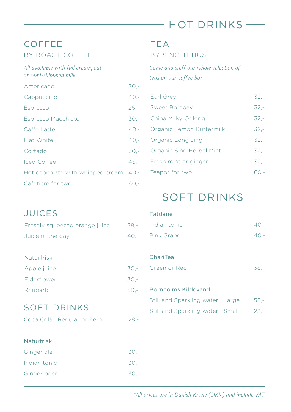# HOT DRINKS

## **COFFEE** BY ROAST COFFEE

## *All available with full cream, oat or semi-skimmed milk*

| Americano                             | $30 -$ |
|---------------------------------------|--------|
| Cappuccino                            | $40 -$ |
| Espresso                              | $25 -$ |
| Espresso Macchiato                    | $30 -$ |
| Caffe Latte                           | $40 -$ |
| Flat White                            | $40 -$ |
| Cortado                               | $30 -$ |
| <b>Iced Coffee</b>                    | $45 -$ |
| Hot chocolate with whipped cream 40,- |        |
| Cafetière for two                     | 60.-   |

## TEA

## BY SING TEHUS

*Come and sniff our whole selection of teas on our coffee bar* 

| Earl Grey                | $32 -$ |
|--------------------------|--------|
| Sweet Bombay             | $32 -$ |
| China Milky Oolong       | $32 -$ |
| Organic Lemon Buttermilk | $32 -$ |
| Organic Long Jing        | $32 -$ |
| Organic Sing Herbal Mint | $32 -$ |
| Fresh mint or ginger     | $32 -$ |
| Teapot for two           | h() -  |
|                          |        |

# SOFT DRINKS -

| <b>JUICES</b>                                     |        | Fatdane                                                                |                  |
|---------------------------------------------------|--------|------------------------------------------------------------------------|------------------|
| Freshly squeezed orange juice                     | 38.-   | Indian tonic                                                           | $40 -$           |
| Juice of the day                                  | $40 -$ | Pink Grape                                                             | $40 -$           |
| <b>Naturfrisk</b>                                 |        | ChariTea                                                               |                  |
| Apple juice                                       | $30 -$ | Green or Red                                                           | $38 -$           |
| Elderflower                                       | $30 -$ |                                                                        |                  |
| Rhubarb                                           | 30,-   | <b>Bornholms Kildevand</b>                                             |                  |
| <b>SOFT DRINKS</b><br>Coca Cola   Regular or Zero | $28 -$ | Still and Sparkling water   Large<br>Still and Sparkling water   Small | $55,-$<br>$22 -$ |
| <b>Naturfrisk</b>                                 |        |                                                                        |                  |
| Ginger ale                                        | $30 -$ |                                                                        |                  |
| Indian tonic                                      | $30 -$ |                                                                        |                  |
| Ginger beer                                       | $30 -$ |                                                                        |                  |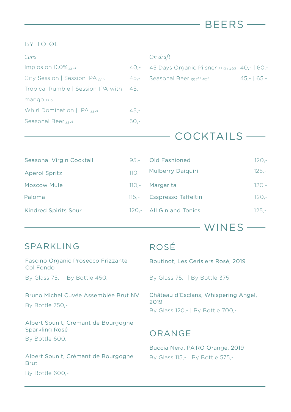## BY TO ØL

| Cans                                    |         | On draft      |
|-----------------------------------------|---------|---------------|
| Implosion $0.0\%$ 33 cl                 |         | 40,- 45 Days  |
| City Session   Session IPA 33 cl        |         | 45 .- Seasona |
| Tropical Rumble   Session IPA with 45,- |         |               |
| mango 33 cl                             |         |               |
| Whirl Domination   IPA 33 cl            | $45. -$ |               |
| Seasonal Beer 33 cl                     | 50.-    |               |

| $0.11$ $0.1$ $0.1$ $0.1$                           |             |
|----------------------------------------------------|-------------|
| 45 Days Organic Pilsner 33 cl   45cl 40, -   60, - |             |
| Seasonal Beer 33 cl / 45cl                         | $45 - 65 -$ |
|                                                    |             |

BEERS

# COCKTAILS

| Seasonal Virgin Cocktail    |          | 95.- Old Fashioned          | $120 -$ |
|-----------------------------|----------|-----------------------------|---------|
| <b>Aperol Spritz</b>        | $110 -$  | <b>Mulberry Daiquiri</b>    | $125 -$ |
| <b>Moscow Mule</b>          |          | 110 .- Margarita            | $120 -$ |
| Paloma                      | $115. -$ | <b>Esspresso Taffeltini</b> | $120 -$ |
| <b>Kindred Spirits Sour</b> |          | 120.- All Gin and Tonics    | $125 -$ |

WINES —

## SPARKLING

Fascino Organic Prosecco Frizzante - Col Fondo

By Glass 75,- | By Bottle 450,-

## Bruno Michel Cuvée Assemblée Brut NV By Bottle 750,-

Albert Sounit, Crémant de Bourgogne Sparkling Rosé

By Bottle 600,-

Albert Sounit, Crémant de Bourgogne Brut

By Bottle 600,-

# ROSÉ

Boutinot, Les Cerisiers Rosé, 2019

By Glass 75,- | By Bottle 375,-

Château d'Esclans, Whispering Angel, 2019 By Glass 120,- | By Bottle 700,-

# ORANGE

Buccia Nera, PA'RO Orange, 2019 By Glass 115,- | By Bottle 575,-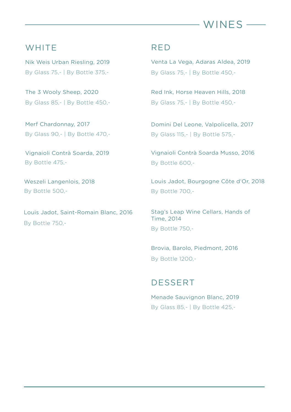

## **WHITE**

Nik Weis Urban Riesling, 2019 By Glass 75,- | By Bottle 375,-

The 3 Wooly Sheep, 2020 By Glass 85,- | By Bottle 450,-

Merf Chardonnay, 2017 By Glass 90,- | By Bottle 470,-

Vignaioli Contrà Soarda, 2019 By Bottle 475,-

Weszeli Langenlois, 2018 By Bottle 500,-

Louis Jadot, Saint-Romain Blanc, 2016 By Bottle 750,-

## RED

Venta La Vega, Adaras Aldea, 2019 By Glass 75,- | By Bottle 450,-

Red Ink, Horse Heaven Hills, 2018 By Glass 75,- | By Bottle 450,-

Domini Del Leone, Valpolicella, 2017 By Glass 115,- | By Bottle 575,-

Vignaioli Contrà Soarda Musso, 2016 By Bottle 600,-

Louis Jadot, Bourgogne Côte d'Or, 2018 By Bottle 700,-

Stag's Leap Wine Cellars, Hands of Time, 2014 By Bottle 750,-

Brovia, Barolo, Piedmont, 2016 By Bottle 1200,-

## DESSERT

Menade Sauvignon Blanc, 2019 By Glass 85,- | By Bottle 425,-